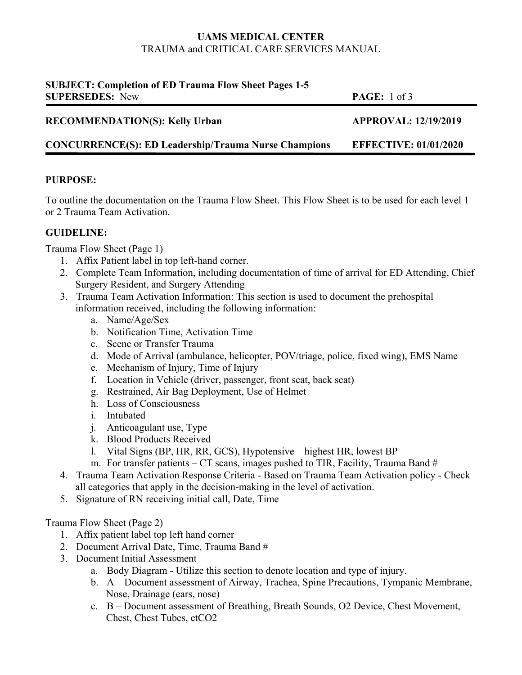## **UAMS MEDICAL CENTER**  TRAUMA and CRITICAL CARE SERVICES MANUAL

| <b>SUBJECT: Completion of ED Trauma Flow Sheet Pages 1-5</b><br><b>SUPERSEDES: New</b> | <b>PAGE:</b> 1 of 3          |
|----------------------------------------------------------------------------------------|------------------------------|
| <b>RECOMMENDATION(S): Kelly Urban</b>                                                  | <b>APPROVAL: 12/19/2019</b>  |
| <b>CONCURRENCE(S): ED Leadership/Trauma Nurse Champions</b>                            | <b>EFFECTIVE: 01/01/2020</b> |

### **PURPOSE:**

To outline the documentation on the Trauma Flow Sheet. This Flow Sheet is to be used for each level 1 or 2 Trauma Team Activation.

## **GUIDELINE:**

Trauma Flow Sheet (Page 1)

- 1. Affix Patient label in top left-hand corner.
- 2. Complete Team Information, including documentation of time of arrival for ED Attending, Chief Surgery Resident, and Surgery Attending
- 3. Trauma Team Activation Information: This section is used to document the prehospital information received, including the following information:
	- a. Name/Age/Sex
	- b. Notification Time, Activation Time
	- c. Scene or Transfer Trauma
	- d. Mode of Arrival (ambulance, helicopter, POV/triage, police, fixed wing), EMS Name
	- e. Mechanism of Injury, Time of Injury
	- f. Location in Vehicle (driver, passenger, front seat, back seat)
	- g. Restrained, Air Bag Deployment, Use of Helmet
	- h. Loss of Consciousness
	- i. Intubated
	- j. Anticoagulant use, Type
	- k. Blood Products Received
	- l. Vital Signs (BP, HR, RR, GCS), Hypotensive highest HR, lowest BP
	- m. For transfer patients  $-CT$  scans, images pushed to TIR, Facility, Trauma Band  $#$
- 4. Trauma Team Activation Response Criteria Based on Trauma Team Activation policy Check all categories that apply in the decision-making in the level of activation.
- 5. Signature of RN receiving initial call, Date, Time

### Trauma Flow Sheet (Page 2)

- 1. Affix patient label top left hand corner
- 2. Document Arrival Date, Time, Trauma Band #
- 3. Document Initial Assessment
	- a. Body Diagram Utilize this section to denote location and type of injury.
	- b. A Document assessment of Airway, Trachea, Spine Precautions, Tympanic Membrane, Nose, Drainage (ears, nose)
	- c. B Document assessment of Breathing, Breath Sounds, O2 Device, Chest Movement, Chest, Chest Tubes, etCO2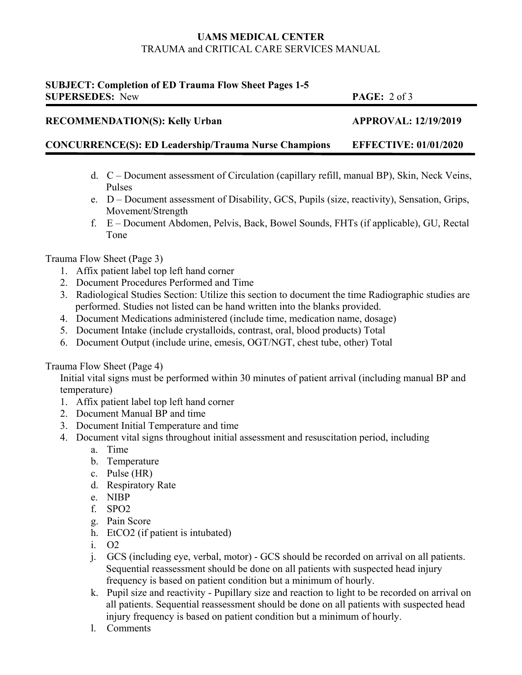## **UAMS MEDICAL CENTER**  TRAUMA and CRITICAL CARE SERVICES MANUAL

# **SUBJECT: Completion of ED Trauma Flow Sheet Pages 1-5 SUPERSEDES:** New **PAGE:** 2 of 3 **RECOMMENDATION(S): Kelly Urban APPROVAL: 12/19/2019 CONCURRENCE(S): ED Leadership/Trauma Nurse Champions EFFECTIVE: 01/01/2020**

- d. C Document assessment of Circulation (capillary refill, manual BP), Skin, Neck Veins, Pulses
- e. D Document assessment of Disability, GCS, Pupils (size, reactivity), Sensation, Grips, Movement/Strength
- f. E Document Abdomen, Pelvis, Back, Bowel Sounds, FHTs (if applicable), GU, Rectal Tone

# Trauma Flow Sheet (Page 3)

- 1. Affix patient label top left hand corner
- 2. Document Procedures Performed and Time
- 3. Radiological Studies Section: Utilize this section to document the time Radiographic studies are performed. Studies not listed can be hand written into the blanks provided.
- 4. Document Medications administered (include time, medication name, dosage)
- 5. Document Intake (include crystalloids, contrast, oral, blood products) Total
- 6. Document Output (include urine, emesis, OGT/NGT, chest tube, other) Total

# Trauma Flow Sheet (Page 4)

Initial vital signs must be performed within 30 minutes of patient arrival (including manual BP and temperature)

- 1. Affix patient label top left hand corner
- 2. Document Manual BP and time
- 3. Document Initial Temperature and time
- 4. Document vital signs throughout initial assessment and resuscitation period, including
	- a. Time
	- b. Temperature
	- c. Pulse (HR)
	- d. Respiratory Rate
	- e. NIBP
	- f. SPO2
	- g. Pain Score
	- h. EtCO2 (if patient is intubated)
	- i. O2
	- j. GCS (including eye, verbal, motor) GCS should be recorded on arrival on all patients. Sequential reassessment should be done on all patients with suspected head injury frequency is based on patient condition but a minimum of hourly.
	- k. Pupil size and reactivity Pupillary size and reaction to light to be recorded on arrival on all patients. Sequential reassessment should be done on all patients with suspected head injury frequency is based on patient condition but a minimum of hourly.
	- l. Comments